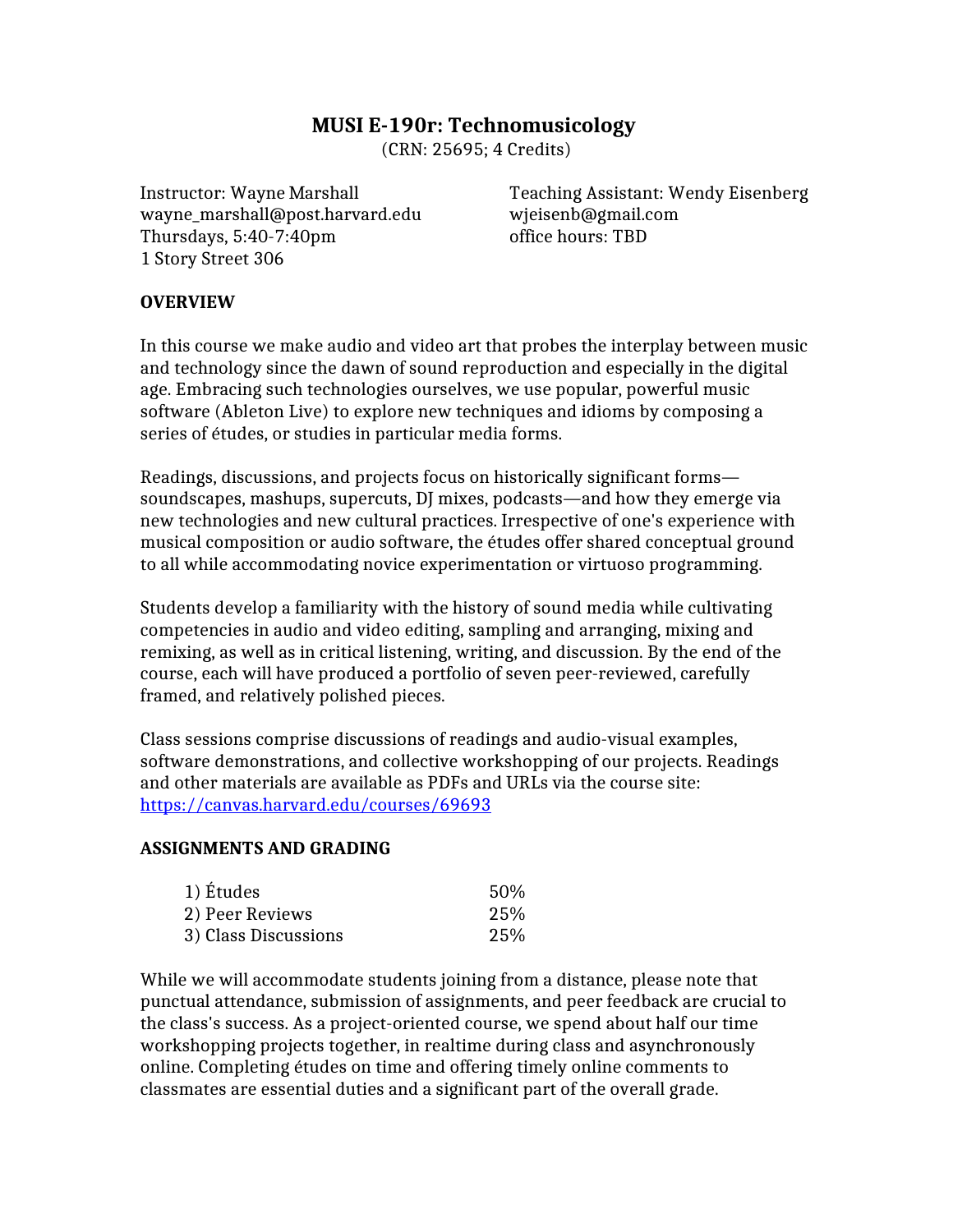# **MUSI E-190r: Technomusicology**

(CRN: 25695; 4 Credits)

wayne\_marshall@post.harvard.edu wjeisenb@gmail.com Thursdays, 5:40-7:40pm office hours: TBD 1 Story Street 306

Instructor: Wayne Marshall Teaching Assistant: Wendy Eisenberg

### **OVERVIEW**

In this course we make audio and video art that probes the interplay between music and technology since the dawn of sound reproduction and especially in the digital age. Embracing such technologies ourselves, we use popular, powerful music software (Ableton Live) to explore new techniques and idioms by composing a series of études, or studies in particular media forms.

Readings, discussions, and projects focus on historically significant forms soundscapes, mashups, supercuts, DJ mixes, podcasts—and how they emerge via new technologies and new cultural practices. Irrespective of one's experience with musical composition or audio software, the études offer shared conceptual ground to all while accommodating novice experimentation or virtuoso programming.

Students develop a familiarity with the history of sound media while cultivating competencies in audio and video editing, sampling and arranging, mixing and remixing, as well as in critical listening, writing, and discussion. By the end of the course, each will have produced a portfolio of seven peer-reviewed, carefully framed, and relatively polished pieces.

Class sessions comprise discussions of readings and audio-visual examples, software demonstrations, and collective workshopping of our projects. Readings and other materials are available as PDFs and URLs via the course site: <https://canvas.harvard.edu/courses/69693>

#### **ASSIGNMENTS AND GRADING**

| 1) Études            | 50% |
|----------------------|-----|
| 2) Peer Reviews      | 25% |
| 3) Class Discussions | 25% |

While we will accommodate students joining from a distance, please note that punctual attendance, submission of assignments, and peer feedback are crucial to the class's success. As a project-oriented course, we spend about half our time workshopping projects together, in realtime during class and asynchronously online. Completing études on time and offering timely online comments to classmates are essential duties and a significant part of the overall grade.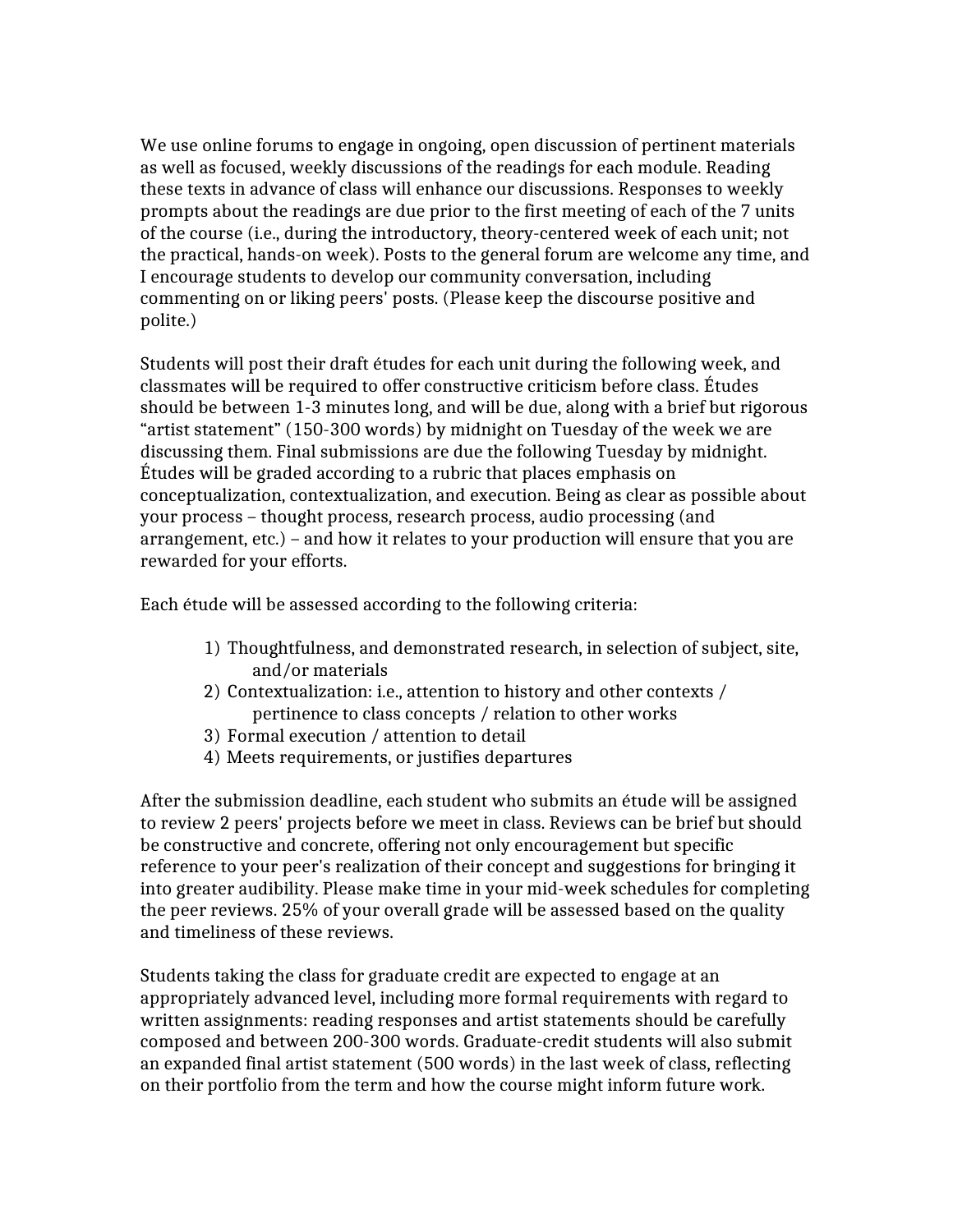We use online forums to engage in ongoing, open discussion of pertinent materials as well as focused, weekly discussions of the readings for each module. Reading these texts in advance of class will enhance our discussions. Responses to weekly prompts about the readings are due prior to the first meeting of each of the 7 units of the course (i.e., during the introductory, theory-centered week of each unit; not the practical, hands-on week). Posts to the general forum are welcome any time, and I encourage students to develop our community conversation, including commenting on or liking peers' posts. (Please keep the discourse positive and polite.)

Students will post their draft études for each unit during the following week, and classmates will be required to offer constructive criticism before class. Études should be between 1-3 minutes long, and will be due, along with a brief but rigorous "artist statement" (150-300 words) by midnight on Tuesday of the week we are discussing them. Final submissions are due the following Tuesday by midnight. Études will be graded according to a rubric that places emphasis on conceptualization, contextualization, and execution. Being as clear as possible about your process – thought process, research process, audio processing (and arrangement, etc.) – and how it relates to your production will ensure that you are rewarded for your efforts.

Each étude will be assessed according to the following criteria:

- 1) Thoughtfulness, and demonstrated research, in selection of subject, site, and/or materials
- 2) Contextualization: i.e., attention to history and other contexts / pertinence to class concepts / relation to other works
- 3) Formal execution / attention to detail
- 4) Meets requirements, or justifies departures

After the submission deadline, each student who submits an étude will be assigned to review 2 peers' projects before we meet in class. Reviews can be brief but should be constructive and concrete, offering not only encouragement but specific reference to your peer's realization of their concept and suggestions for bringing it into greater audibility. Please make time in your mid-week schedules for completing the peer reviews. 25% of your overall grade will be assessed based on the quality and timeliness of these reviews.

Students taking the class for graduate credit are expected to engage at an appropriately advanced level, including more formal requirements with regard to written assignments: reading responses and artist statements should be carefully composed and between 200-300 words. Graduate-credit students will also submit an expanded final artist statement (500 words) in the last week of class, reflecting on their portfolio from the term and how the course might inform future work.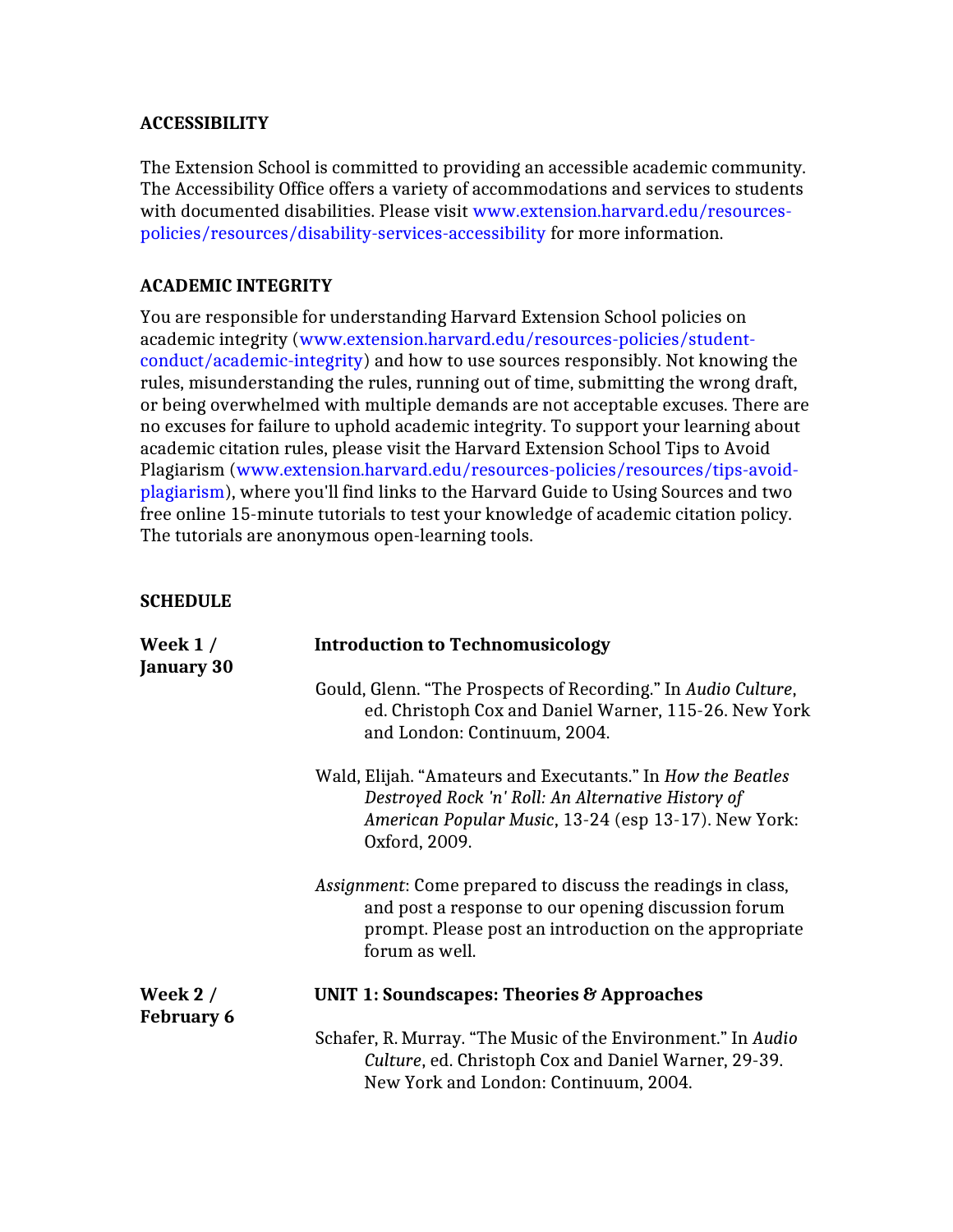## **ACCESSIBILITY**

The Extension School is committed to providing an accessible academic community. The Accessibility Office offers a variety of accommodations and services to students with documented disabilities. Please visit www.extension.harvard.edu/resourcespolicies/resources/disability-services-accessibility for more information.

## **ACADEMIC INTEGRITY**

You are responsible for understanding Harvard Extension School policies on academic integrity (www.extension.harvard.edu/resources-policies/studentconduct/academic-integrity) and how to use sources responsibly. Not knowing the rules, misunderstanding the rules, running out of time, submitting the wrong draft, or being overwhelmed with multiple demands are not acceptable excuses. There are no excuses for failure to uphold academic integrity. To support your learning about academic citation rules, please visit the Harvard Extension School Tips to Avoid Plagiarism (www.extension.harvard.edu/resources-policies/resources/tips-avoidplagiarism), where you'll find links to the Harvard Guide to Using Sources and two free online 15-minute tutorials to test your knowledge of academic citation policy. The tutorials are anonymous open-learning tools.

#### **SCHEDULE**

| Week $1/$<br><b>January 30</b> | <b>Introduction to Technomusicology</b>                                                                                                                                                               |  |
|--------------------------------|-------------------------------------------------------------------------------------------------------------------------------------------------------------------------------------------------------|--|
|                                | Gould, Glenn. "The Prospects of Recording." In Audio Culture,<br>ed. Christoph Cox and Daniel Warner, 115-26. New York<br>and London: Continuum, 2004.                                                |  |
|                                | Wald, Elijah. "Amateurs and Executants." In How the Beatles<br>Destroyed Rock 'n' Roll: An Alternative History of<br>American Popular Music, 13-24 (esp 13-17). New York:<br>Oxford, 2009.            |  |
|                                | <i>Assignment:</i> Come prepared to discuss the readings in class,<br>and post a response to our opening discussion forum<br>prompt. Please post an introduction on the appropriate<br>forum as well. |  |
| Week $2/$<br><b>February 6</b> | UNIT 1: Soundscapes: Theories $\mathcal{B}$ Approaches                                                                                                                                                |  |
|                                | Schafer, R. Murray. "The Music of the Environment." In Audio<br>Culture, ed. Christoph Cox and Daniel Warner, 29-39.<br>New York and London: Continuum, 2004.                                         |  |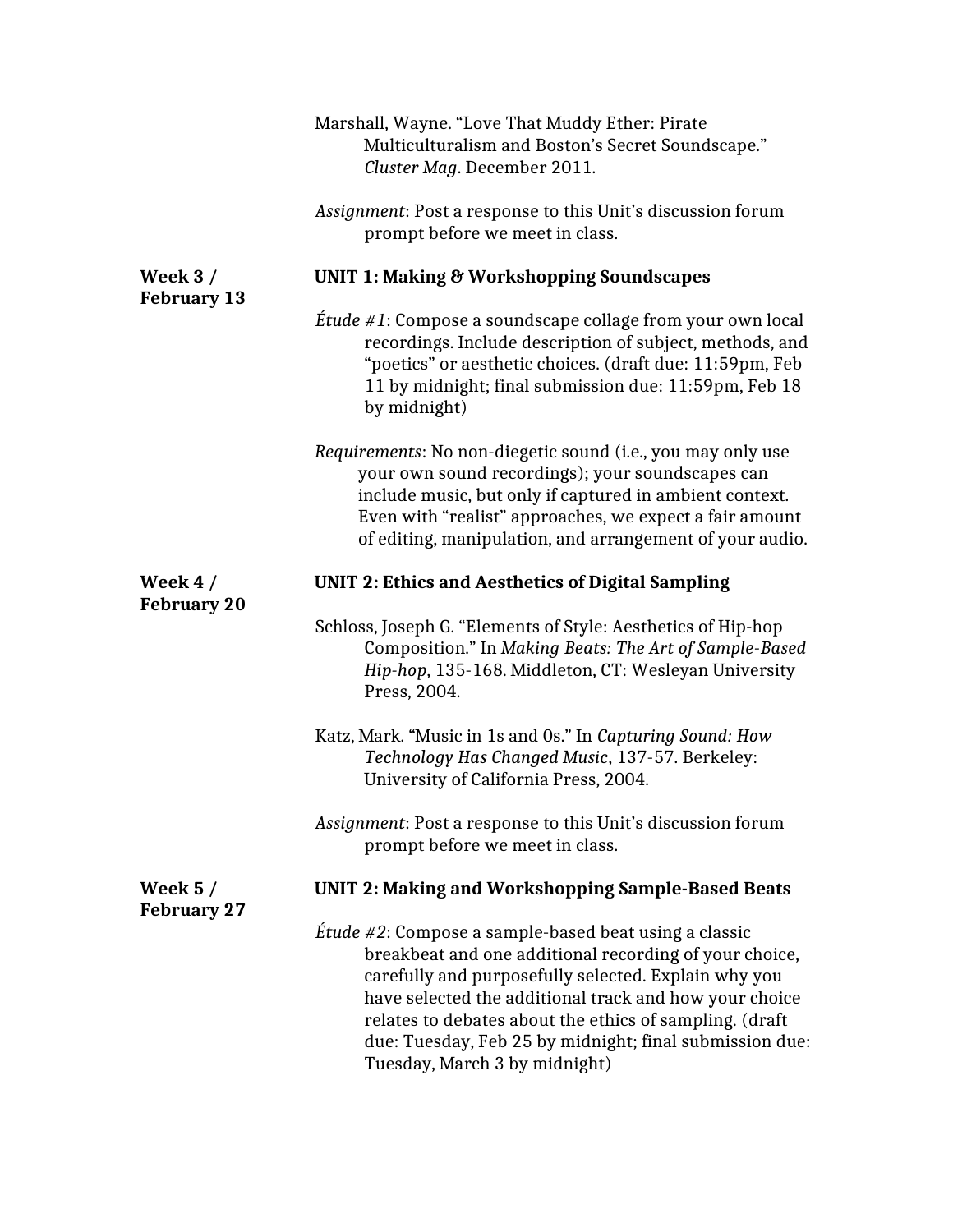|                                      | Marshall, Wayne. "Love That Muddy Ether: Pirate<br>Multiculturalism and Boston's Secret Soundscape."<br>Cluster Mag. December 2011.                                                                                                                                                                                                                                                              |
|--------------------------------------|--------------------------------------------------------------------------------------------------------------------------------------------------------------------------------------------------------------------------------------------------------------------------------------------------------------------------------------------------------------------------------------------------|
|                                      | Assignment: Post a response to this Unit's discussion forum<br>prompt before we meet in class.                                                                                                                                                                                                                                                                                                   |
| Week $3/$<br><b>February 13</b>      | <b>UNIT 1: Making &amp; Workshopping Soundscapes</b>                                                                                                                                                                                                                                                                                                                                             |
|                                      | <i>Étude #1</i> : Compose a soundscape collage from your own local<br>recordings. Include description of subject, methods, and<br>"poetics" or aesthetic choices. (draft due: 11:59pm, Feb<br>11 by midnight; final submission due: 11:59pm, Feb 18<br>by midnight)                                                                                                                              |
|                                      | Requirements: No non-diegetic sound (i.e., you may only use<br>your own sound recordings); your soundscapes can<br>include music, but only if captured in ambient context.<br>Even with "realist" approaches, we expect a fair amount<br>of editing, manipulation, and arrangement of your audio.                                                                                                |
| Week $4/$<br><b>February 20</b>      | <b>UNIT 2: Ethics and Aesthetics of Digital Sampling</b>                                                                                                                                                                                                                                                                                                                                         |
|                                      | Schloss, Joseph G. "Elements of Style: Aesthetics of Hip-hop<br>Composition." In Making Beats: The Art of Sample-Based<br>Hip-hop, 135-168. Middleton, CT: Wesleyan University<br>Press, 2004.                                                                                                                                                                                                   |
|                                      | Katz, Mark. "Music in 1s and 0s." In Capturing Sound: How<br>Technology Has Changed Music, 137-57. Berkeley:<br>University of California Press, 2004.                                                                                                                                                                                                                                            |
|                                      | Assignment: Post a response to this Unit's discussion forum<br>prompt before we meet in class.                                                                                                                                                                                                                                                                                                   |
| <b>Week 5/</b><br><b>February 27</b> | <b>UNIT 2: Making and Workshopping Sample-Based Beats</b>                                                                                                                                                                                                                                                                                                                                        |
|                                      | <i>Étude #2</i> : Compose a sample-based beat using a classic<br>breakbeat and one additional recording of your choice,<br>carefully and purposefully selected. Explain why you<br>have selected the additional track and how your choice<br>relates to debates about the ethics of sampling. (draft<br>due: Tuesday, Feb 25 by midnight; final submission due:<br>Tuesday, March 3 by midnight) |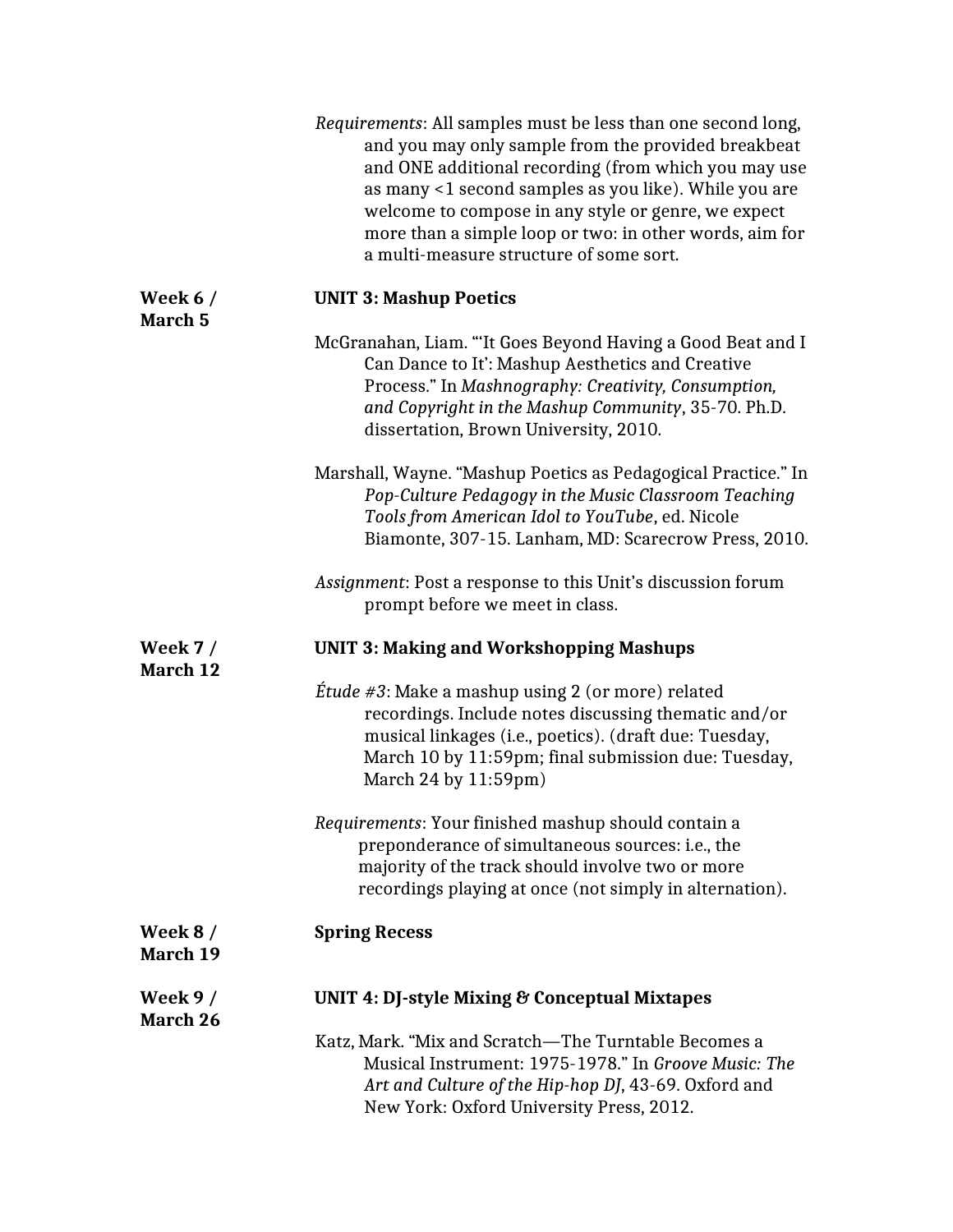|                                 | Requirements: All samples must be less than one second long,<br>and you may only sample from the provided breakbeat<br>and ONE additional recording (from which you may use<br>as many <1 second samples as you like). While you are<br>welcome to compose in any style or genre, we expect<br>more than a simple loop or two: in other words, aim for<br>a multi-measure structure of some sort. |
|---------------------------------|---------------------------------------------------------------------------------------------------------------------------------------------------------------------------------------------------------------------------------------------------------------------------------------------------------------------------------------------------------------------------------------------------|
| Week $6/$<br>March <sub>5</sub> | <b>UNIT 3: Mashup Poetics</b>                                                                                                                                                                                                                                                                                                                                                                     |
|                                 | McGranahan, Liam. "It Goes Beyond Having a Good Beat and I<br>Can Dance to It': Mashup Aesthetics and Creative<br>Process." In Mashnography: Creativity, Consumption,<br>and Copyright in the Mashup Community, 35-70. Ph.D.<br>dissertation, Brown University, 2010.                                                                                                                             |
|                                 | Marshall, Wayne. "Mashup Poetics as Pedagogical Practice." In<br>Pop-Culture Pedagogy in the Music Classroom Teaching<br>Tools from American Idol to YouTube, ed. Nicole<br>Biamonte, 307-15. Lanham, MD: Scarecrow Press, 2010.                                                                                                                                                                  |
|                                 | Assignment: Post a response to this Unit's discussion forum<br>prompt before we meet in class.                                                                                                                                                                                                                                                                                                    |
| <b>Week 7/</b><br>March 12      | <b>UNIT 3: Making and Workshopping Mashups</b>                                                                                                                                                                                                                                                                                                                                                    |
|                                 | Étude #3: Make a mashup using 2 (or more) related<br>recordings. Include notes discussing thematic and/or<br>musical linkages (i.e., poetics). (draft due: Tuesday,<br>March 10 by 11:59pm; final submission due: Tuesday,<br>March 24 by 11:59pm)                                                                                                                                                |
|                                 | Requirements: Your finished mashup should contain a<br>preponderance of simultaneous sources: i.e., the<br>majority of the track should involve two or more<br>recordings playing at once (not simply in alternation).                                                                                                                                                                            |
| Week $8/$<br>March 19           | <b>Spring Recess</b>                                                                                                                                                                                                                                                                                                                                                                              |
| Week $9/$<br>March 26           | UNIT 4: DJ-style Mixing & Conceptual Mixtapes                                                                                                                                                                                                                                                                                                                                                     |
|                                 | Katz, Mark. "Mix and Scratch—The Turntable Becomes a<br>Musical Instrument: 1975-1978." In Groove Music: The<br>Art and Culture of the Hip-hop DJ, 43-69. Oxford and<br>New York: Oxford University Press, 2012.                                                                                                                                                                                  |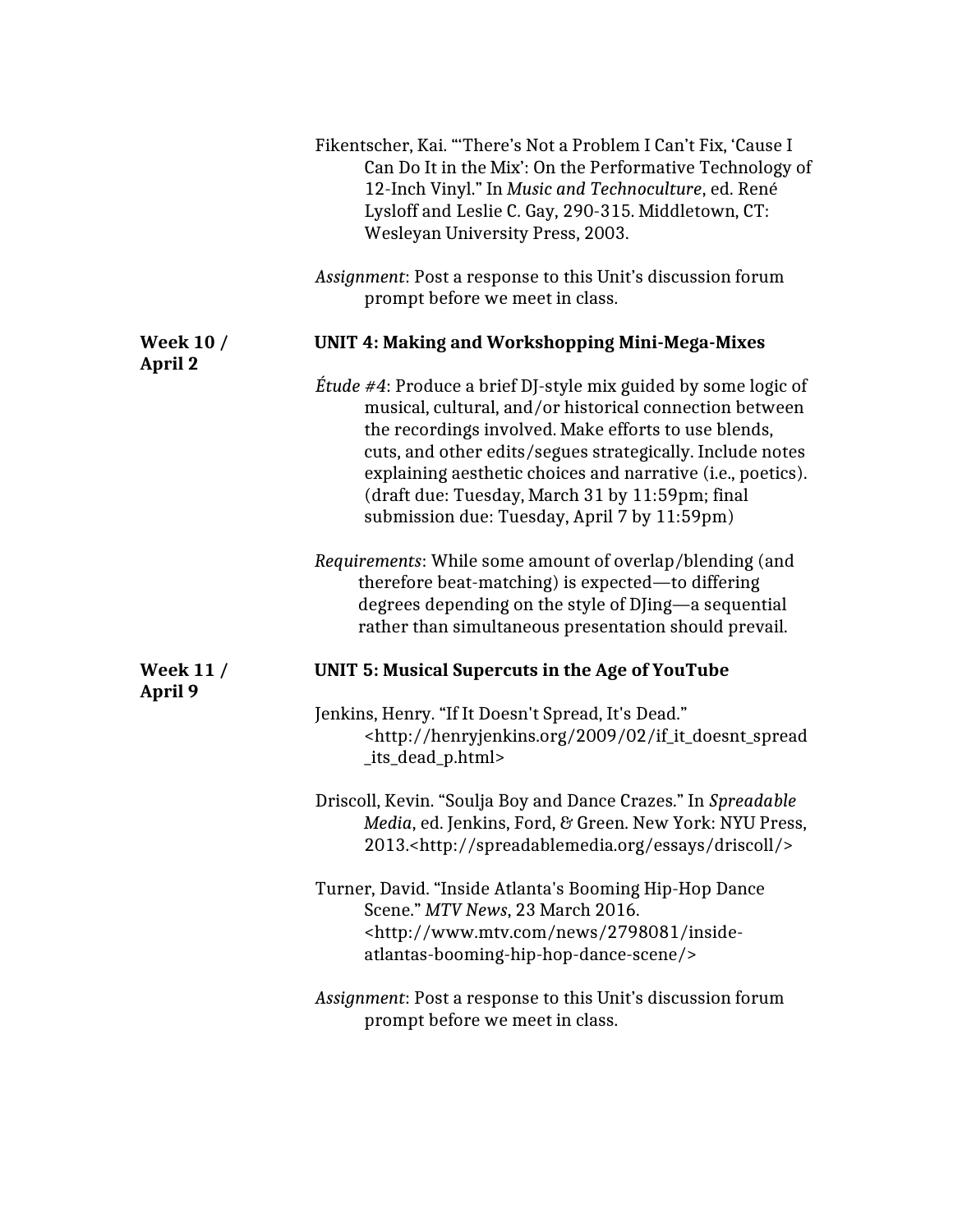|                             | Fikentscher, Kai. "There's Not a Problem I Can't Fix, 'Cause I<br>Can Do It in the Mix': On the Performative Technology of<br>12-Inch Vinyl." In Music and Technoculture, ed. René<br>Lysloff and Leslie C. Gay, 290-315. Middletown, CT:<br>Wesleyan University Press, 2003.                                                                                                                                            |
|-----------------------------|--------------------------------------------------------------------------------------------------------------------------------------------------------------------------------------------------------------------------------------------------------------------------------------------------------------------------------------------------------------------------------------------------------------------------|
|                             | Assignment: Post a response to this Unit's discussion forum<br>prompt before we meet in class.                                                                                                                                                                                                                                                                                                                           |
| <b>Week 10 /</b><br>April 2 | <b>UNIT 4: Making and Workshopping Mini-Mega-Mixes</b>                                                                                                                                                                                                                                                                                                                                                                   |
|                             | <i>Étude #4</i> : Produce a brief DJ-style mix guided by some logic of<br>musical, cultural, and/or historical connection between<br>the recordings involved. Make efforts to use blends,<br>cuts, and other edits/segues strategically. Include notes<br>explaining aesthetic choices and narrative (i.e., poetics).<br>(draft due: Tuesday, March 31 by 11:59pm; final<br>submission due: Tuesday, April 7 by 11:59pm) |
|                             | Requirements: While some amount of overlap/blending (and<br>therefore beat-matching) is expected—to differing<br>degrees depending on the style of DJing—a sequential<br>rather than simultaneous presentation should prevail.                                                                                                                                                                                           |
| <b>Week 11/</b><br>April 9  | <b>UNIT 5: Musical Supercuts in the Age of YouTube</b>                                                                                                                                                                                                                                                                                                                                                                   |
|                             | Jenkins, Henry. "If It Doesn't Spread, It's Dead."<br><http: 02="" 2009="" henryjenkins.org="" if_it_doesnt_spread<br="">_its_dead_p.html&gt;</http:>                                                                                                                                                                                                                                                                    |
|                             | Driscoll, Kevin. "Soulja Boy and Dance Crazes." In Spreadable<br>Media, ed. Jenkins, Ford, & Green. New York: NYU Press,<br>2013. <http: driscoll="" essays="" spreadablemedia.org=""></http:>                                                                                                                                                                                                                           |
|                             | Turner, David. "Inside Atlanta's Booming Hip-Hop Dance<br>Scene." MTV News, 23 March 2016.<br><http: 2798081="" inside-<br="" news="" www.mtv.com="">atlantas-booming-hip-hop-dance-scene/&gt;</http:>                                                                                                                                                                                                                   |
|                             | Assignment: Post a response to this Unit's discussion forum<br>prompt before we meet in class.                                                                                                                                                                                                                                                                                                                           |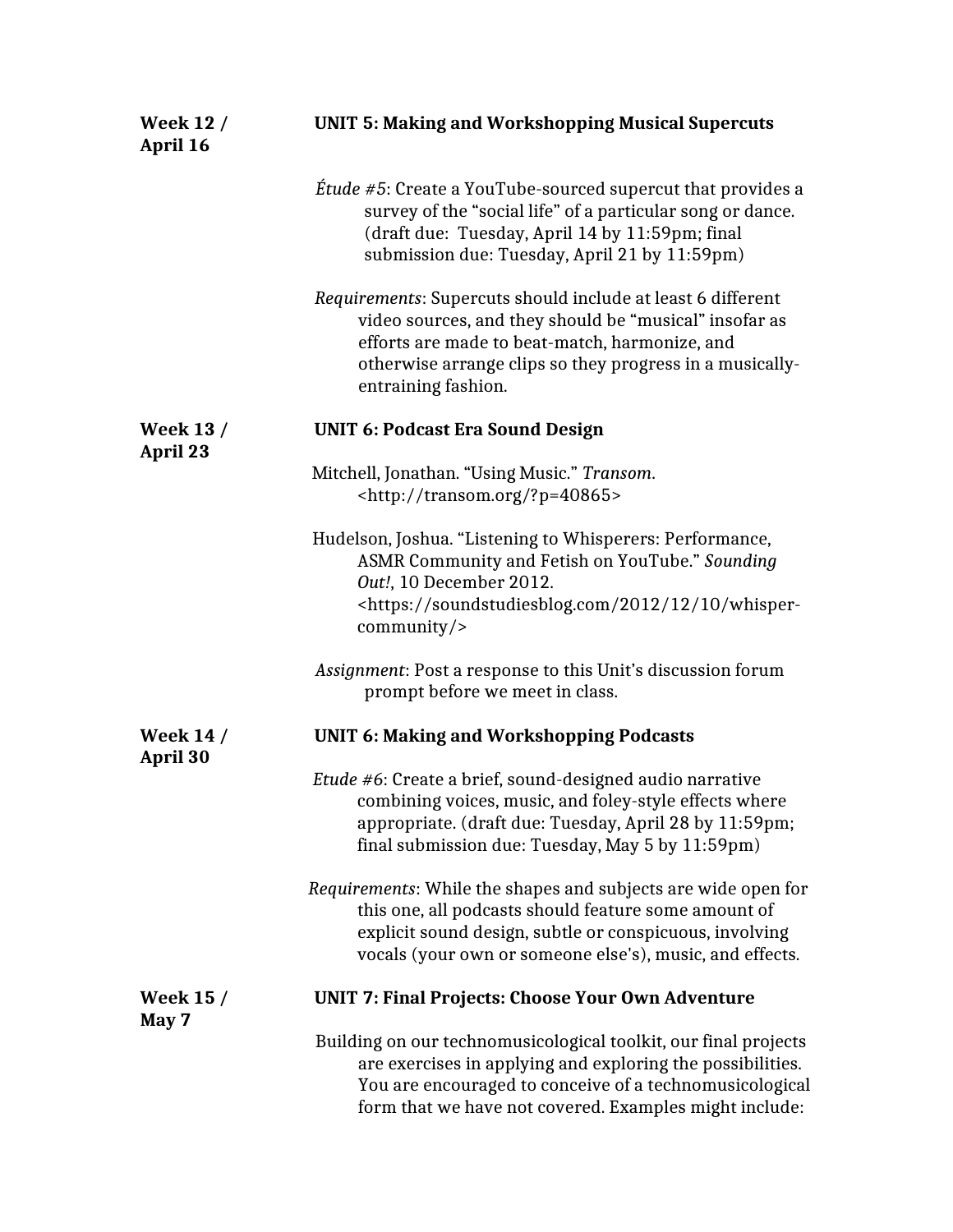| <b>Week 12 /</b><br>April 16 | <b>UNIT 5: Making and Workshopping Musical Supercuts</b>                                                                                                                                                                                                   |
|------------------------------|------------------------------------------------------------------------------------------------------------------------------------------------------------------------------------------------------------------------------------------------------------|
|                              | <i>Étude #5</i> : Create a YouTube-sourced supercut that provides a<br>survey of the "social life" of a particular song or dance.<br>(draft due: Tuesday, April 14 by 11:59pm; final<br>submission due: Tuesday, April 21 by 11:59pm)                      |
|                              | Requirements: Supercuts should include at least 6 different<br>video sources, and they should be "musical" insofar as<br>efforts are made to beat-match, harmonize, and<br>otherwise arrange clips so they progress in a musically-<br>entraining fashion. |
| <b>Week 13 /</b><br>April 23 | <b>UNIT 6: Podcast Era Sound Design</b>                                                                                                                                                                                                                    |
|                              | Mitchell, Jonathan. "Using Music." Transom.<br><http: ?p="40865" transom.org=""></http:>                                                                                                                                                                   |
|                              | Hudelson, Joshua. "Listening to Whisperers: Performance,<br>ASMR Community and Fetish on YouTube." Sounding<br>Out!, 10 December 2012.<br><https: 10="" 12="" 2012="" soundstudiesblog.com="" whisper-<br="">community</https:>                            |
|                              | Assignment: Post a response to this Unit's discussion forum<br>prompt before we meet in class.                                                                                                                                                             |
| <b>Week 14 /</b><br>April 30 | <b>UNIT 6: Making and Workshopping Podcasts</b>                                                                                                                                                                                                            |
|                              | Etude #6: Create a brief, sound-designed audio narrative<br>combining voices, music, and foley-style effects where<br>appropriate. (draft due: Tuesday, April 28 by 11:59pm;<br>final submission due: Tuesday, May 5 by 11:59pm)                           |
|                              | Requirements: While the shapes and subjects are wide open for<br>this one, all podcasts should feature some amount of<br>explicit sound design, subtle or conspicuous, involving<br>vocals (your own or someone else's), music, and effects.               |
| <b>Week 15 /</b>             | <b>UNIT 7: Final Projects: Choose Your Own Adventure</b>                                                                                                                                                                                                   |
| May 7                        | Building on our technomusicological toolkit, our final projects<br>are exercises in applying and exploring the possibilities.<br>You are encouraged to conceive of a technomusicological<br>form that we have not covered. Examples might include:         |